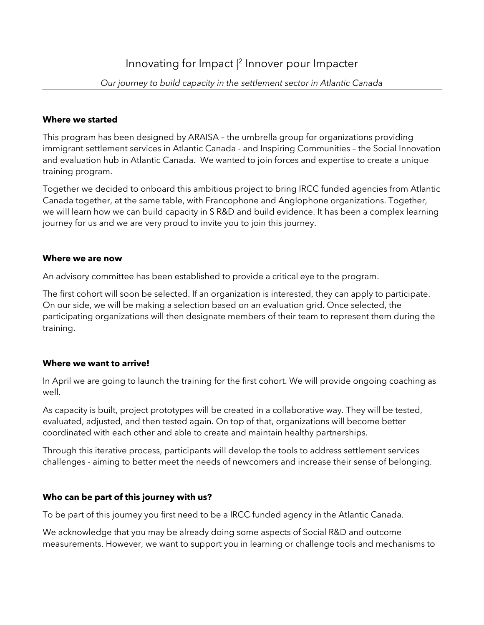### **Where we started**

This program has been designed by ARAISA – the umbrella group for organizations providing immigrant settlement services in Atlantic Canada - and Inspiring Communities – the Social Innovation and evaluation hub in Atlantic Canada. We wanted to join forces and expertise to create a unique training program.

Together we decided to onboard this ambitious project to bring IRCC funded agencies from Atlantic Canada together, at the same table, with Francophone and Anglophone organizations. Together, we will learn how we can build capacity in S R&D and build evidence. It has been a complex learning journey for us and we are very proud to invite you to join this journey.

#### **Where we are now**

An advisory committee has been established to provide a critical eye to the program.

The first cohort will soon be selected. If an organization is interested, they can apply to participate. On our side, we will be making a selection based on an evaluation grid. Once selected, the participating organizations will then designate members of their team to represent them during the training.

#### **Where we want to arrive!**

In April we are going to launch the training for the first cohort. We will provide ongoing coaching as well.

As capacity is built, project prototypes will be created in a collaborative way. They will be tested, evaluated, adjusted, and then tested again. On top of that, organizations will become better coordinated with each other and able to create and maintain healthy partnerships.

Through this iterative process, participants will develop the tools to address settlement services challenges - aiming to better meet the needs of newcomers and increase their sense of belonging.

# **Who can be part of this journey with us?**

To be part of this journey you first need to be a IRCC funded agency in the Atlantic Canada.

We acknowledge that you may be already doing some aspects of Social R&D and outcome measurements. However, we want to support you in learning or challenge tools and mechanisms to